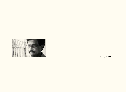

**BIBHU PADHI**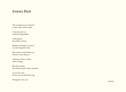## Journey Back

The evening was too innocent to take notice of the words;

I was innocent too until they sleepwalked

to their places far within my heart.

Memory of things is too short, is in fact forgotten easily.

My woman received them too, but she is wiser than me

and knows what to retain, what to forget.

But that evening, the innocuous *paan*-shop's transistor

was too far away for the exact words of the song.

Nimapada: I owe you

**PADHI**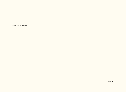the wind-swept song.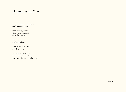## Beginning the Year

In the old time, the new year. Small promises rise up

to the swampy surface of the heart, float meekly on its thick waters.

Promises, filled with the future, of each

slighted soul even before it took its body.

Promises. Will the heart know which ones to choose in an act of delicate gathering at all?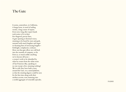## The Gate

It seems, somewhere, in California, it hangs loose, in need of nailing words, a long course of repairs. Even now, long after expert hands took notice of it in their five-fingered, precise lines. A gate opening to fictional voices, straining to be heard by men and gods, narrated with much laughter and anger in rhyming lines of unvarying lengths forthright, complacent, cocksure. How can that gate allow our cold luck into the warmth of company, so far from us, so much unlike anything we've known till now a creator's wish to be identified by what he creates from the white noise of San Francisco Bay, speaking to no one except a few, meaning nothing? We're told, they have built a story around the Gate, on a raised platform, so that the strutting figures could be seen for the first time along with their strident accents, now maturing into a sordid aggregate of venerable episodes.